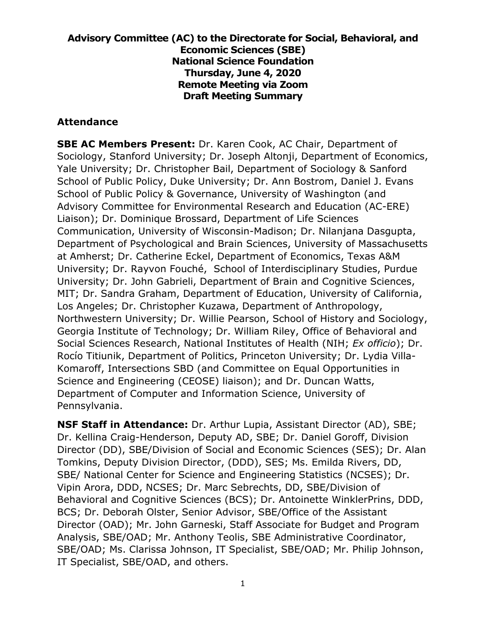#### **Advisory Committee (AC) to the Directorate for Social, Behavioral, and Economic Sciences (SBE) National Science Foundation Thursday, June 4, 2020 Remote Meeting via Zoom Draft Meeting Summary**

#### **Attendance**

**SBE AC Members Present:** Dr. Karen Cook, AC Chair, Department of Sociology, Stanford University; Dr. Joseph Altonji, Department of Economics, Yale University; Dr. Christopher Bail, Department of Sociology & Sanford School of Public Policy, Duke University; Dr. Ann Bostrom, Daniel J. Evans School of Public Policy & Governance, University of Washington (and Advisory Committee for Environmental Research and Education (AC-ERE) Liaison); Dr. Dominique Brossard, Department of Life Sciences Communication, University of Wisconsin-Madison; Dr. Nilanjana Dasgupta, Department of Psychological and Brain Sciences, University of Massachusetts at Amherst; Dr. Catherine Eckel, Department of Economics, Texas A&M University; Dr. Rayvon Fouché, School of Interdisciplinary Studies, Purdue University; Dr. John Gabrieli, Department of Brain and Cognitive Sciences, MIT; Dr. Sandra Graham, Department of Education, University of California, Los Angeles; Dr. Christopher Kuzawa, Department of Anthropology, Northwestern University; Dr. Willie Pearson, School of History and Sociology, Georgia Institute of Technology; Dr. William Riley, Office of Behavioral and Social Sciences Research, National Institutes of Health (NIH; *Ex officio*); Dr. Rocío Titiunik, Department of Politics, Princeton University; Dr. Lydia Villa-Komaroff, Intersections SBD (and Committee on Equal Opportunities in Science and Engineering (CEOSE) liaison); and Dr. Duncan Watts, Department of Computer and Information Science, University of Pennsylvania.

**NSF Staff in Attendance:** Dr. Arthur Lupia, Assistant Director (AD), SBE; Dr. Kellina Craig-Henderson, Deputy AD, SBE; Dr. Daniel Goroff, Division Director (DD), SBE/Division of Social and Economic Sciences (SES); Dr. Alan Tomkins, Deputy Division Director, (DDD), SES; Ms. Emilda Rivers, DD, SBE/ National Center for Science and Engineering Statistics (NCSES); Dr. Vipin Arora, DDD, NCSES; Dr. Marc Sebrechts, DD, SBE/Division of Behavioral and Cognitive Sciences (BCS); Dr. Antoinette WinklerPrins, DDD, BCS; Dr. Deborah Olster, Senior Advisor, SBE/Office of the Assistant Director (OAD); Mr. John Garneski, Staff Associate for Budget and Program Analysis, SBE/OAD; Mr. Anthony Teolis, SBE Administrative Coordinator, SBE/OAD; Ms. Clarissa Johnson, IT Specialist, SBE/OAD; Mr. Philip Johnson, IT Specialist, SBE/OAD, and others.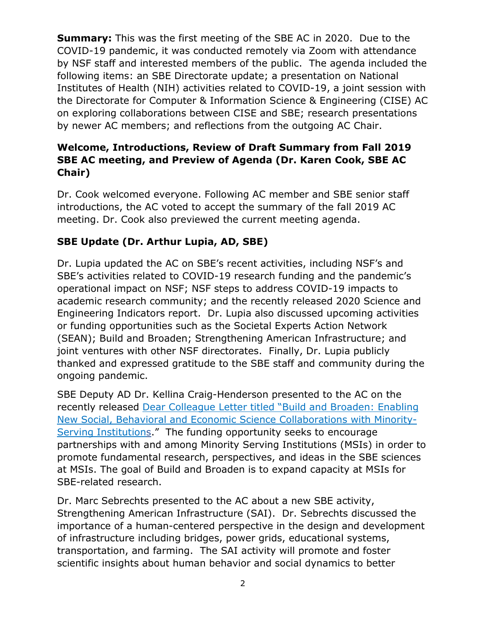**Summary:** This was the first meeting of the SBE AC in 2020. Due to the COVID-19 pandemic, it was conducted remotely via Zoom with attendance by NSF staff and interested members of the public. The agenda included the following items: an SBE Directorate update; a presentation on National Institutes of Health (NIH) activities related to COVID-19, a joint session with the Directorate for Computer & Information Science & Engineering (CISE) AC on exploring collaborations between CISE and SBE; research presentations by newer AC members; and reflections from the outgoing AC Chair.

### **Welcome, Introductions, Review of Draft Summary from Fall 2019 SBE AC meeting, and Preview of Agenda (Dr. Karen Cook, SBE AC Chair)**

Dr. Cook welcomed everyone. Following AC member and SBE senior staff introductions, the AC voted to accept the summary of the fall 2019 AC meeting. Dr. Cook also previewed the current meeting agenda.

## **SBE Update (Dr. Arthur Lupia, AD, SBE)**

Dr. Lupia updated the AC on SBE's recent activities, including NSF's and SBE's activities related to COVID-19 research funding and the pandemic's operational impact on NSF; NSF steps to address COVID-19 impacts to academic research community; and the recently released 2020 Science and Engineering Indicators report. Dr. Lupia also discussed upcoming activities or funding opportunities such as the Societal Experts Action Network (SEAN); Build and Broaden; Strengthening American Infrastructure; and joint ventures with other NSF directorates. Finally, Dr. Lupia publicly thanked and expressed gratitude to the SBE staff and community during the ongoing pandemic.

SBE Deputy AD Dr. Kellina Craig-Henderson presented to the AC on the recently released Dear Colleague Letter titled ["Build and Broaden: Enabling](https://www.nsf.gov/pubs/2020/nsf20048/nsf20048.jsp)  [New Social, Behavioral and Economic Science Collaborations with Minority-](https://www.nsf.gov/pubs/2020/nsf20048/nsf20048.jsp)[Serving Institutions.](https://www.nsf.gov/pubs/2020/nsf20048/nsf20048.jsp)" The funding opportunity seeks to encourage partnerships with and among Minority Serving Institutions (MSIs) in order to promote fundamental research, perspectives, and ideas in the SBE sciences at MSIs. The goal of Build and Broaden is to expand capacity at MSIs for SBE-related research.

Dr. Marc Sebrechts presented to the AC about a new SBE activity, Strengthening American Infrastructure (SAI). Dr. Sebrechts discussed the importance of a human-centered perspective in the design and development of infrastructure including bridges, power grids, educational systems, transportation, and farming. The SAI activity will promote and foster scientific insights about human behavior and social dynamics to better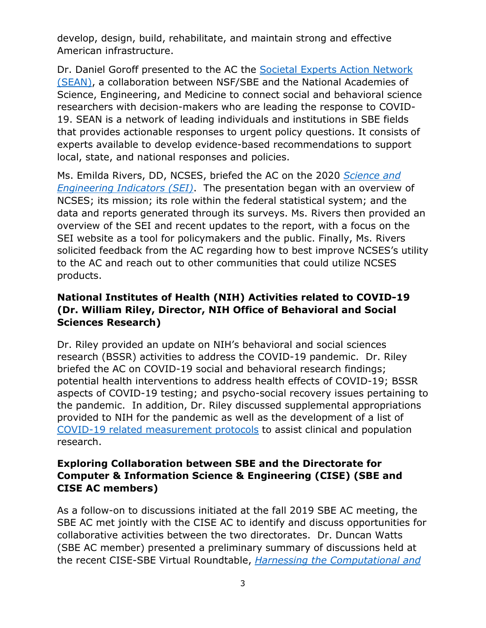develop, design, build, rehabilitate, and maintain strong and effective American infrastructure.

Dr. Daniel Goroff presented to the AC the [Societal Experts Action Network](https://www.nationalacademies.org/our-work/societal-experts-action-network)  [\(SEAN\),](https://www.nationalacademies.org/our-work/societal-experts-action-network) a collaboration between NSF/SBE and the National Academies of Science, Engineering, and Medicine to connect social and behavioral science researchers with decision-makers who are leading the response to COVID-19. SEAN is a network of leading individuals and institutions in SBE fields that provides actionable responses to urgent policy questions. It consists of experts available to develop evidence-based recommendations to support local, state, and national responses and policies.

Ms. Emilda Rivers, DD, NCSES, briefed the AC on the 2020 *[Science and](https://ncses.nsf.gov/indicators)  [Engineering Indicators](https://ncses.nsf.gov/indicators) (SEI)*. The presentation began with an overview of NCSES; its mission; its role within the federal statistical system; and the data and reports generated through its surveys. Ms. Rivers then provided an overview of the SEI and recent updates to the report, with a focus on the SEI website as a tool for policymakers and the public. Finally, Ms. Rivers solicited feedback from the AC regarding how to best improve NCSES's utility to the AC and reach out to other communities that could utilize NCSES products.

### **National Institutes of Health (NIH) Activities related to COVID-19 (Dr. William Riley, Director, NIH Office of Behavioral and Social Sciences Research)**

Dr. Riley provided an update on NIH's behavioral and social sciences research (BSSR) activities to address the COVID-19 pandemic. Dr. Riley briefed the AC on COVID-19 social and behavioral research findings; potential health interventions to address health effects of COVID-19; BSSR aspects of COVID-19 testing; and psycho-social recovery issues pertaining to the pandemic. In addition, Dr. Riley discussed supplemental appropriations provided to NIH for the pandemic as well as the development of a list of [COVID-19 related measurement protocols](https://www.phenxtoolkit.org/covid19/) to assist clinical and population research.

#### **Exploring Collaboration between SBE and the Directorate for Computer & Information Science & Engineering (CISE) (SBE and CISE AC members)**

As a follow-on to discussions initiated at the fall 2019 SBE AC meeting, the SBE AC met jointly with the CISE AC to identify and discuss opportunities for collaborative activities between the two directorates. Dr. Duncan Watts (SBE AC member) presented a preliminary summary of discussions held at the recent CISE-SBE Virtual Roundtable, *[Harnessing the Computational and](https://cps-vo.org/group/CISE-SBE-VR20/program-agenda)*